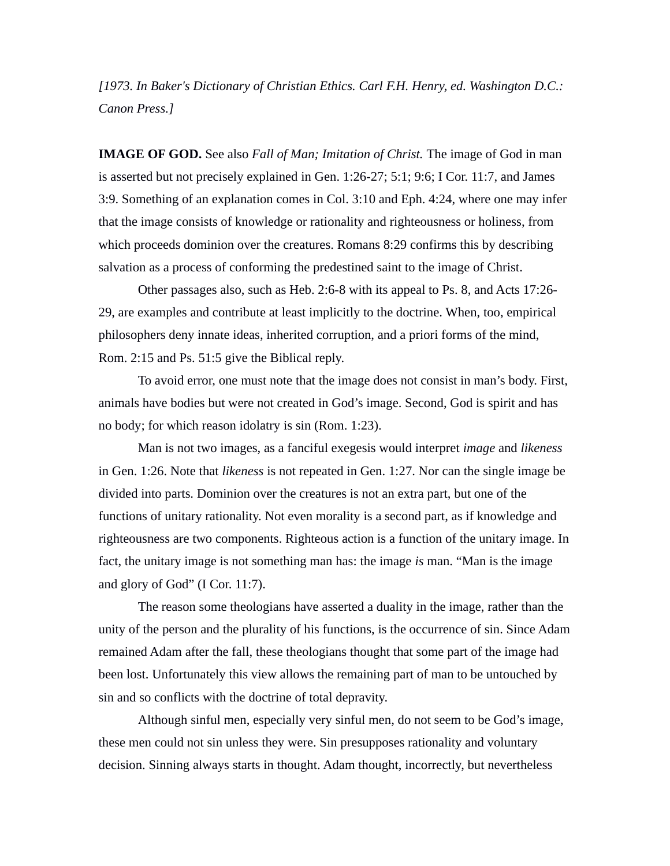*[1973. In Baker's Dictionary of Christian Ethics. Carl F.H. Henry, ed. Washington D.C.: Canon Press.]*

**IMAGE OF GOD.** See also *Fall of Man; Imitation of Christ.* The image of God in man is asserted but not precisely explained in Gen. 1:26-27; 5:1; 9:6; I Cor. 11:7, and James 3:9. Something of an explanation comes in Col. 3:10 and Eph. 4:24, where one may infer that the image consists of knowledge or rationality and righteousness or holiness, from which proceeds dominion over the creatures. Romans 8:29 confirms this by describing salvation as a process of conforming the predestined saint to the image of Christ.

Other passages also, such as Heb. 2:6-8 with its appeal to Ps. 8, and Acts 17:26- 29, are examples and contribute at least implicitly to the doctrine. When, too, empirical philosophers deny innate ideas, inherited corruption, and a priori forms of the mind, Rom. 2:15 and Ps. 51:5 give the Biblical reply.

To avoid error, one must note that the image does not consist in man's body. First, animals have bodies but were not created in God's image. Second, God is spirit and has no body; for which reason idolatry is sin (Rom. 1:23).

Man is not two images, as a fanciful exegesis would interpret *image* and *likeness*  in Gen. 1:26. Note that *likeness* is not repeated in Gen. 1:27. Nor can the single image be divided into parts. Dominion over the creatures is not an extra part, but one of the functions of unitary rationality. Not even morality is a second part, as if knowledge and righteousness are two components. Righteous action is a function of the unitary image. In fact, the unitary image is not something man has: the image *is* man. "Man is the image and glory of God" (I Cor. 11:7).

The reason some theologians have asserted a duality in the image, rather than the unity of the person and the plurality of his functions, is the occurrence of sin. Since Adam remained Adam after the fall, these theologians thought that some part of the image had been lost. Unfortunately this view allows the remaining part of man to be untouched by sin and so conflicts with the doctrine of total depravity.

Although sinful men, especially very sinful men, do not seem to be God's image, these men could not sin unless they were. Sin presupposes rationality and voluntary decision. Sinning always starts in thought. Adam thought, incorrectly, but nevertheless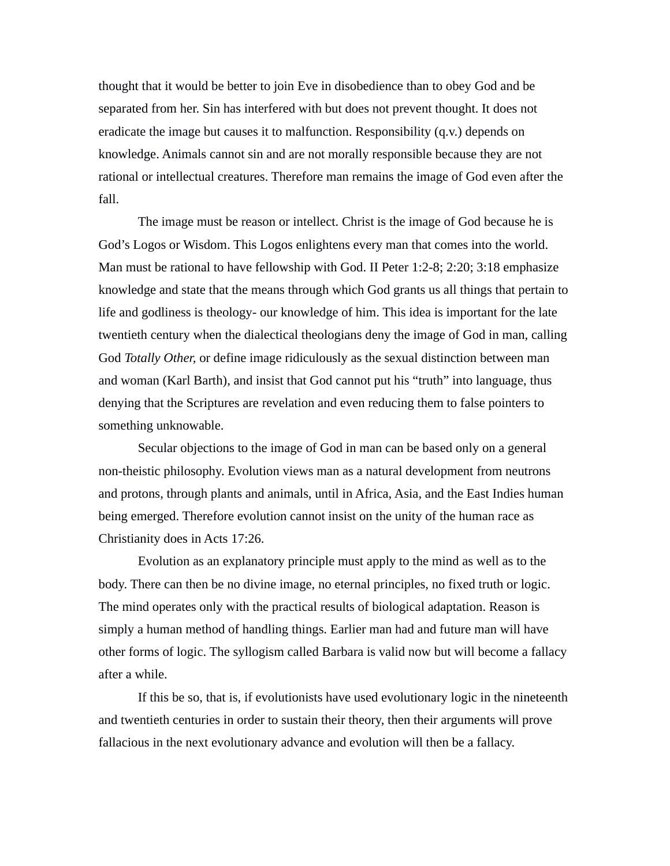thought that it would be better to join Eve in disobedience than to obey God and be separated from her. Sin has interfered with but does not prevent thought. It does not eradicate the image but causes it to malfunction. Responsibility (q.v.) depends on knowledge. Animals cannot sin and are not morally responsible because they are not rational or intellectual creatures. Therefore man remains the image of God even after the fall.

The image must be reason or intellect. Christ is the image of God because he is God's Logos or Wisdom. This Logos enlightens every man that comes into the world. Man must be rational to have fellowship with God. II Peter 1:2-8; 2:20; 3:18 emphasize knowledge and state that the means through which God grants us all things that pertain to life and godliness is theology- our knowledge of him. This idea is important for the late twentieth century when the dialectical theologians deny the image of God in man, calling God *Totally Other,* or define image ridiculously as the sexual distinction between man and woman (Karl Barth), and insist that God cannot put his "truth" into language, thus denying that the Scriptures are revelation and even reducing them to false pointers to something unknowable.

Secular objections to the image of God in man can be based only on a general non-theistic philosophy. Evolution views man as a natural development from neutrons and protons, through plants and animals, until in Africa, Asia, and the East Indies human being emerged. Therefore evolution cannot insist on the unity of the human race as Christianity does in Acts 17:26.

Evolution as an explanatory principle must apply to the mind as well as to the body. There can then be no divine image, no eternal principles, no fixed truth or logic. The mind operates only with the practical results of biological adaptation. Reason is simply a human method of handling things. Earlier man had and future man will have other forms of logic. The syllogism called Barbara is valid now but will become a fallacy after a while.

If this be so, that is, if evolutionists have used evolutionary logic in the nineteenth and twentieth centuries in order to sustain their theory, then their arguments will prove fallacious in the next evolutionary advance and evolution will then be a fallacy.